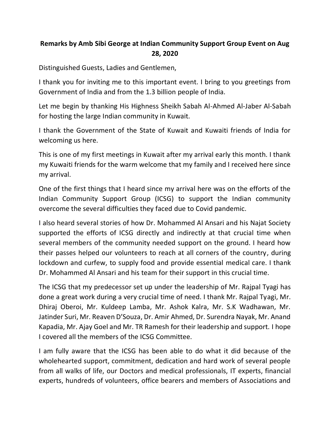## **Remarks by Amb Sibi George at Indian Community Support Group Event on Aug 28, 2020**

Distinguished Guests, Ladies and Gentlemen,

I thank you for inviting me to this important event. I bring to you greetings from Government of India and from the 1.3 billion people of India.

Let me begin by thanking His Highness Sheikh Sabah Al-Ahmed Al-Jaber Al-Sabah for hosting the large Indian community in Kuwait.

I thank the Government of the State of Kuwait and Kuwaiti friends of India for welcoming us here.

This is one of my first meetings in Kuwait after my arrival early this month. I thank my Kuwaiti friends for the warm welcome that my family and I received here since my arrival.

One of the first things that I heard since my arrival here was on the efforts of the Indian Community Support Group (ICSG) to support the Indian community overcome the several difficulties they faced due to Covid pandemic.

I also heard several stories of how Dr. Mohammed Al Ansari and his Najat Society supported the efforts of ICSG directly and indirectly at that crucial time when several members of the community needed support on the ground. I heard how their passes helped our volunteers to reach at all corners of the country, during lockdown and curfew, to supply food and provide essential medical care. I thank Dr. Mohammed Al Ansari and his team for their support in this crucial time.

The ICSG that my predecessor set up under the leadership of Mr. Rajpal Tyagi has done a great work during a very crucial time of need. I thank Mr. Rajpal Tyagi, Mr. Dhiraj Oberoi, Mr. Kuldeep Lamba, Mr. Ashok Kalra, Mr. S.K Wadhawan, Mr. Jatinder Suri, Mr. Reaven D'Souza, Dr. Amir Ahmed, Dr. Surendra Nayak, Mr. Anand Kapadia, Mr. Ajay Goel and Mr. TR Ramesh for their leadership and support. I hope I covered all the members of the ICSG Committee.

I am fully aware that the ICSG has been able to do what it did because of the wholehearted support, commitment, dedication and hard work of several people from all walks of life, our Doctors and medical professionals, IT experts, financial experts, hundreds of volunteers, office bearers and members of Associations and